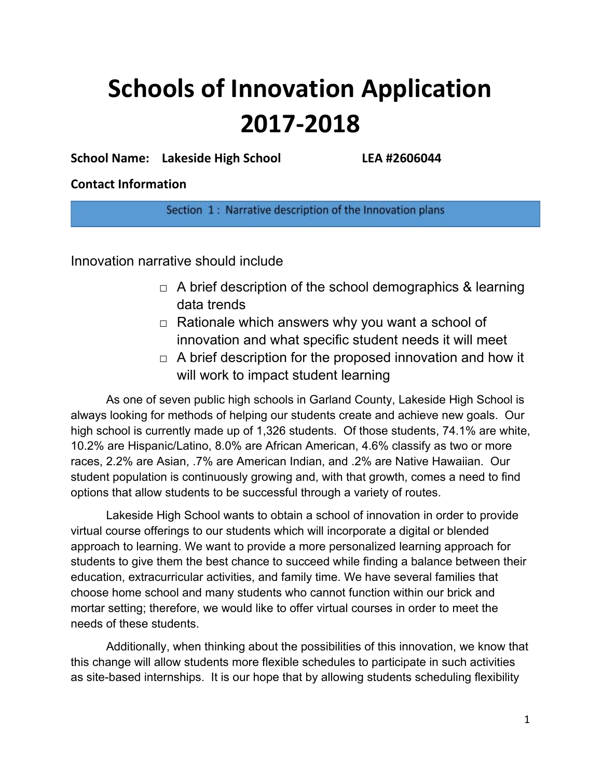# **Schools of Innovation Application 2017-2018**

**School Name: Lakeside High School LEA #2606044**

## **Contact Information**

Section 1: Narrative description of the Innovation plans

Innovation narrative should include

- $\Box$  A brief description of the school demographics & learning data trends
- $\Box$  Rationale which answers why you want a school of innovation and what specific student needs it will meet
- $\Box$  A brief description for the proposed innovation and how it will work to impact student learning

As one of seven public high schools in Garland County, Lakeside High School is always looking for methods of helping our students create and achieve new goals. Our high school is currently made up of 1,326 students. Of those students, 74.1% are white, 10.2% are Hispanic/Latino, 8.0% are African American, 4.6% classify as two or more races, 2.2% are Asian, .7% are American Indian, and .2% are Native Hawaiian. Our student population is continuously growing and, with that growth, comes a need to find options that allow students to be successful through a variety of routes.

Lakeside High School wants to obtain a school of innovation in order to provide virtual course offerings to our students which will incorporate a digital or blended approach to learning. We want to provide a more personalized learning approach for students to give them the best chance to succeed while finding a balance between their education, extracurricular activities, and family time. We have several families that choose home school and many students who cannot function within our brick and mortar setting; therefore, we would like to offer virtual courses in order to meet the needs of these students.

Additionally, when thinking about the possibilities of this innovation, we know that this change will allow students more flexible schedules to participate in such activities as site-based internships. It is our hope that by allowing students scheduling flexibility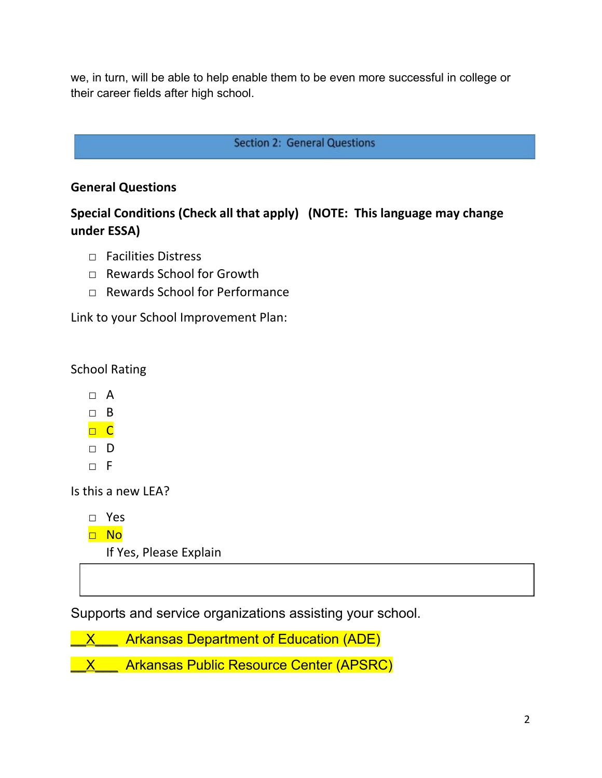we, in turn, will be able to help enable them to be even more successful in college or their career fields after high school.

## **Section 2: General Questions**

## **General Questions**

# **Special Conditions (Check all that apply) (NOTE: This language may change under ESSA)**

- $\Box$  Facilities Distress
- □ Rewards School for Growth
- □ Rewards School for Performance

Link to your School Improvement Plan:

School Rating

- □ A
- $\neg$  B
- □ C
- □ D
- $\neg$  F

Is this a new LEA?

□ Yes

□ No

If Yes, Please Explain

Supports and service organizations assisting your school.

**X** Arkansas Department of Education (ADE)

**X** \_\_ Arkansas Public Resource Center (APSRC)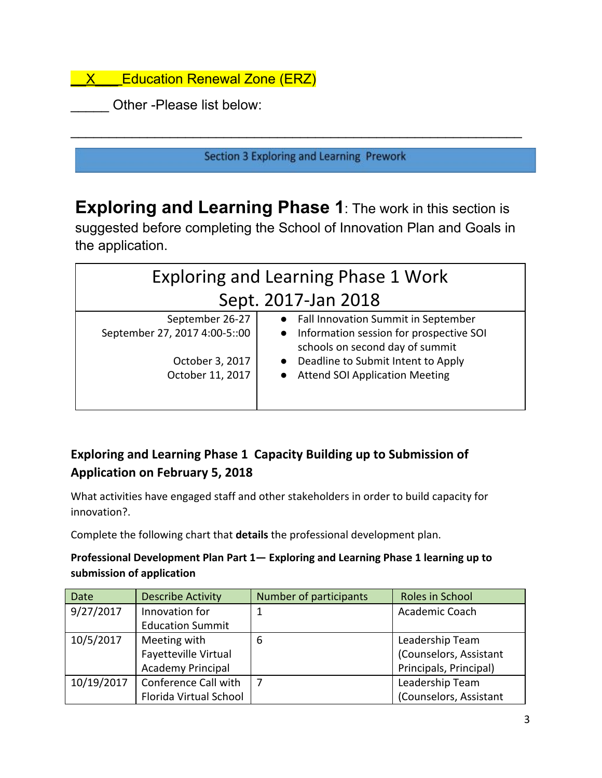**X** Education Renewal Zone (ERZ)

Other -Please list below:

Section 3 Exploring and Learning Prework

 $\overline{\phantom{a}}$  , and the contribution of the contribution of the contribution of the contribution of the contribution of the contribution of the contribution of the contribution of the contribution of the contribution of the

**Exploring and Learning Phase 1**: The work in this section is suggested before completing the School of Innovation Plan and Goals in the application.

| <b>Exploring and Learning Phase 1 Work</b> |                                                                              |  |
|--------------------------------------------|------------------------------------------------------------------------------|--|
| Sept. 2017-Jan 2018                        |                                                                              |  |
| September 26-27                            | • Fall Innovation Summit in September                                        |  |
| September 27, 2017 4:00-5::00              | • Information session for prospective SOI<br>schools on second day of summit |  |
| October 3, 2017                            | Deadline to Submit Intent to Apply<br>$\bullet$                              |  |
| October 11, 2017                           | <b>Attend SOI Application Meeting</b>                                        |  |
|                                            |                                                                              |  |

# **Exploring and Learning Phase 1 Capacity Building up to Submission of Application on February 5, 2018**

What activities have engaged staff and other stakeholders in order to build capacity for innovation?.

Complete the following chart that **details** the professional development plan.

## **Professional Development Plan Part 1— Exploring and Learning Phase 1 learning up to submission of application**

| Date       | <b>Describe Activity</b>    | Number of participants | Roles in School        |
|------------|-----------------------------|------------------------|------------------------|
| 9/27/2017  | Innovation for              |                        | Academic Coach         |
|            | <b>Education Summit</b>     |                        |                        |
| 10/5/2017  | Meeting with                | 6                      | Leadership Team        |
|            | <b>Fayetteville Virtual</b> |                        | (Counselors, Assistant |
|            | <b>Academy Principal</b>    |                        | Principals, Principal) |
| 10/19/2017 | Conference Call with        |                        | Leadership Team        |
|            | Florida Virtual School      |                        | (Counselors, Assistant |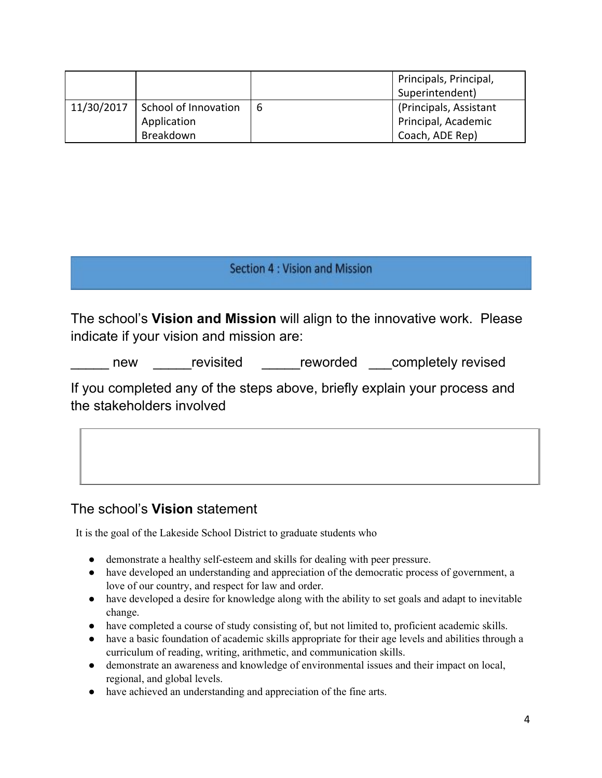|            |                      |   | Principals, Principal,<br>Superintendent) |
|------------|----------------------|---|-------------------------------------------|
| 11/30/2017 | School of Innovation | 6 | (Principals, Assistant                    |
|            | Application          |   | Principal, Academic                       |
|            | Breakdown            |   | Coach, ADE Rep)                           |

## Section 4 : Vision and Mission

The school's **Vision and Mission** will align to the innovative work. Please indicate if your vision and mission are:

new revisited reworded completely revised

If you completed any of the steps above, briefly explain your process and the stakeholders involved

## The school's **Vision** statement

It is the goal of the Lakeside School District to graduate students who

- demonstrate a healthy self-esteem and skills for dealing with peer pressure.
- have developed an understanding and appreciation of the democratic process of government, a love of our country, and respect for law and order.
- have developed a desire for knowledge along with the ability to set goals and adapt to inevitable change.
- have completed a course of study consisting of, but not limited to, proficient academic skills.
- have a basic foundation of academic skills appropriate for their age levels and abilities through a curriculum of reading, writing, arithmetic, and communication skills.
- demonstrate an awareness and knowledge of environmental issues and their impact on local, regional, and global levels.
- have achieved an understanding and appreciation of the fine arts.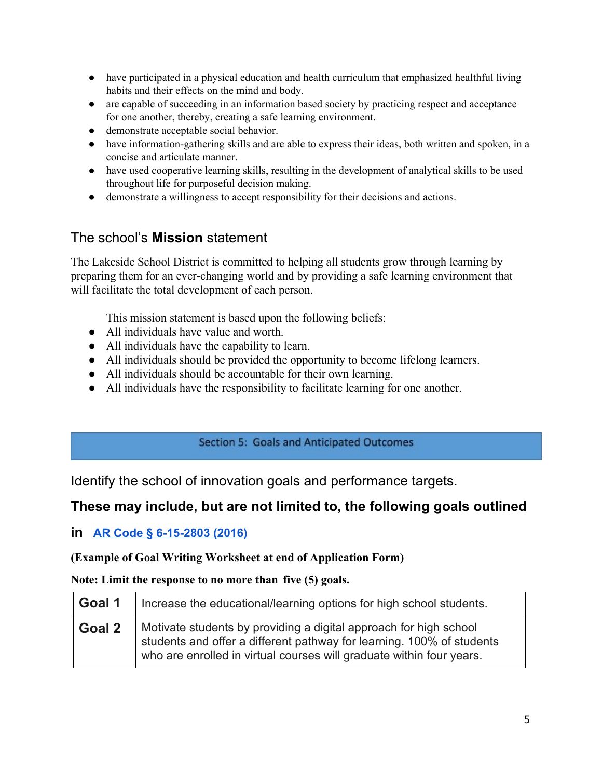- have participated in a physical education and health curriculum that emphasized healthful living habits and their effects on the mind and body.
- are capable of succeeding in an information based society by practicing respect and acceptance for one another, thereby, creating a safe learning environment.
- demonstrate acceptable social behavior.
- have information-gathering skills and are able to express their ideas, both written and spoken, in a concise and articulate manner.
- have used cooperative learning skills, resulting in the development of analytical skills to be used throughout life for purposeful decision making.
- demonstrate a willingness to accept responsibility for their decisions and actions.

# The school's **Mission** statement

The Lakeside School District is committed to helping all students grow through learning by preparing them for an ever-changing world and by providing a safe learning environment that will facilitate the total development of each person.

This mission statement is based upon the following beliefs:

- All individuals have value and worth.
- All individuals have the capability to learn.
- All individuals should be provided the opportunity to become lifelong learners.
- All individuals should be accountable for their own learning.
- All individuals have the responsibility to facilitate learning for one another.

## **Section 5: Goals and Anticipated Outcomes**

Identify the school of innovation goals and performance targets.

# **These may include, but are not limited to, the following goals outlined**

**in [AR Code § 6-15-2803 \(2016\)](http://law.justia.com/codes/arkansas/2016/title-6/subtitle-2/chapter-15/subchapter-28/section-6-15-2803)**

## **(Example of Goal Writing Worksheet at end of Application Form)**

## **Note: Limit the response to no more than five (5) goals.**

| Goal 1 | Increase the educational/learning options for high school students.                                                                                                                                                |
|--------|--------------------------------------------------------------------------------------------------------------------------------------------------------------------------------------------------------------------|
| Goal 2 | Motivate students by providing a digital approach for high school<br>students and offer a different pathway for learning. 100% of students<br>who are enrolled in virtual courses will graduate within four years. |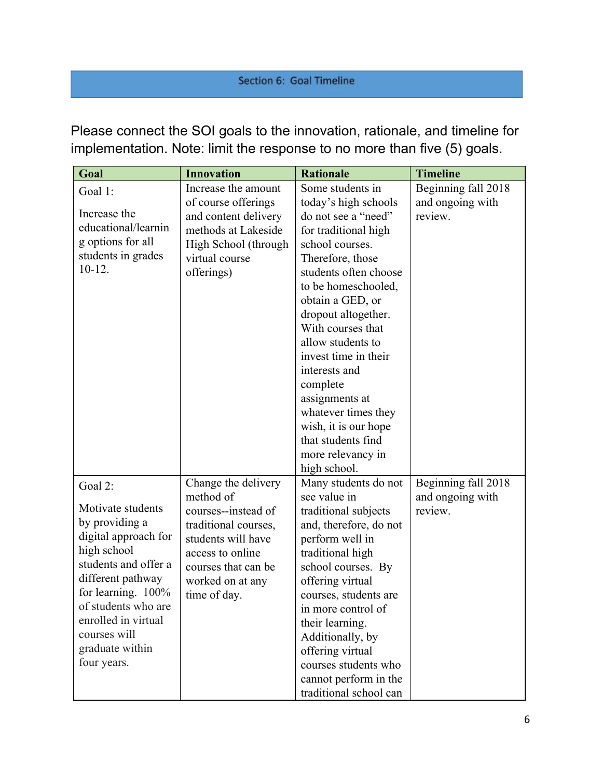## Section 6: Goal Timeline

Please connect the SOI goals to the innovation, rationale, and timeline for implementation. Note: limit the response to no more than five (5) goals.

| <b>Innovation</b><br>Goal                    | <b>Timeline</b><br><b>Rationale</b>         |
|----------------------------------------------|---------------------------------------------|
| Increase the amount<br>Goal 1:               | Some students in<br>Beginning fall 2018     |
| of course offerings                          | today's high schools<br>and ongoing with    |
| Increase the<br>and content delivery         | do not see a "need"<br>review.              |
| educational/learnin<br>methods at Lakeside   | for traditional high                        |
| g options for all<br>High School (through    | school courses.                             |
| students in grades<br>virtual course         | Therefore, those                            |
| $10-12.$<br>offerings)                       | students often choose                       |
|                                              | to be homeschooled,                         |
|                                              | obtain a GED, or                            |
|                                              | dropout altogether.                         |
|                                              | With courses that                           |
|                                              | allow students to                           |
|                                              | invest time in their                        |
|                                              | interests and                               |
|                                              | complete                                    |
|                                              | assignments at                              |
|                                              | whatever times they                         |
|                                              | wish, it is our hope                        |
|                                              | that students find                          |
|                                              | more relevancy in                           |
|                                              | high school.                                |
| Change the delivery<br>Goal 2:               | Beginning fall 2018<br>Many students do not |
| method of<br>Motivate students               | see value in<br>and ongoing with            |
| courses--instead of<br>by providing a        | traditional subjects<br>review.             |
| traditional courses,<br>digital approach for | and, therefore, do not                      |
| students will have<br>high school            | perform well in                             |
| access to online<br>students and offer a     | traditional high                            |
| courses that can be<br>different pathway     | school courses. By                          |
| worked on at any<br>for learning. $100\%$    | offering virtual                            |
| time of day.<br>of students who are          | courses, students are                       |
| enrolled in virtual                          | in more control of                          |
| courses will                                 | their learning.                             |
| graduate within                              | Additionally, by                            |
| four years.                                  | offering virtual<br>courses students who    |
|                                              | cannot perform in the                       |
|                                              |                                             |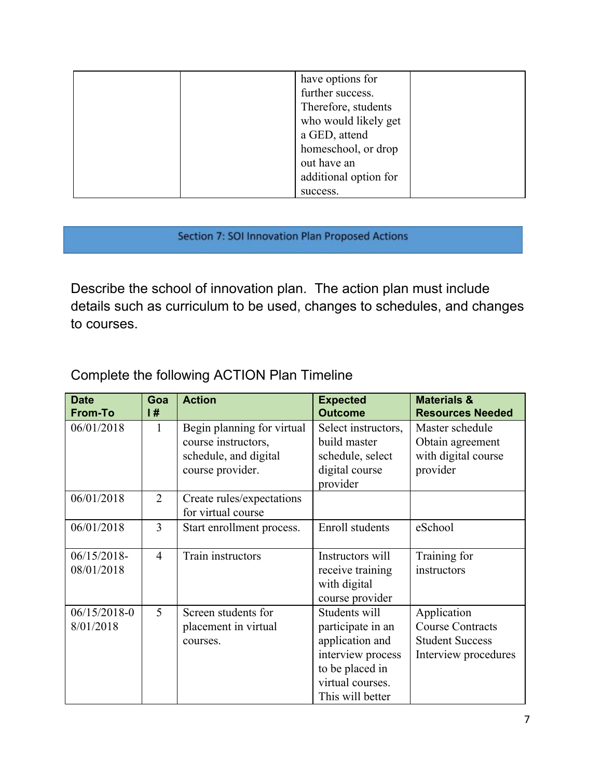| have options for      |
|-----------------------|
| further success.      |
| Therefore, students   |
| who would likely get  |
| a GED, attend         |
| homeschool, or drop   |
| out have an           |
| additional option for |
| success.              |

## Section 7: SOI Innovation Plan Proposed Actions

Describe the school of innovation plan. The action plan must include details such as curriculum to be used, changes to schedules, and changes to courses.

# Complete the following ACTION Plan Timeline

| <b>Date</b><br><b>From-To</b> | Goa<br>l#      | <b>Action</b>                                                                                  | <b>Expected</b><br><b>Outcome</b>                                                                                                     | <b>Materials &amp;</b><br><b>Resources Needed</b>                                        |
|-------------------------------|----------------|------------------------------------------------------------------------------------------------|---------------------------------------------------------------------------------------------------------------------------------------|------------------------------------------------------------------------------------------|
| 06/01/2018                    | 1              | Begin planning for virtual<br>course instructors,<br>schedule, and digital<br>course provider. | Select instructors,<br>build master<br>schedule, select<br>digital course<br>provider                                                 | Master schedule<br>Obtain agreement<br>with digital course<br>provider                   |
| 06/01/2018                    | $\overline{2}$ | Create rules/expectations<br>for virtual course                                                |                                                                                                                                       |                                                                                          |
| 06/01/2018                    | 3              | Start enrollment process.                                                                      | Enroll students                                                                                                                       | eSchool                                                                                  |
| $06/15/2018-$<br>08/01/2018   | $\overline{4}$ | Train instructors                                                                              | Instructors will<br>receive training<br>with digital<br>course provider                                                               | Training for<br>instructors                                                              |
| $06/15/2018-0$<br>8/01/2018   | 5              | Screen students for<br>placement in virtual<br>courses.                                        | Students will<br>participate in an<br>application and<br>interview process<br>to be placed in<br>virtual courses.<br>This will better | Application<br><b>Course Contracts</b><br><b>Student Success</b><br>Interview procedures |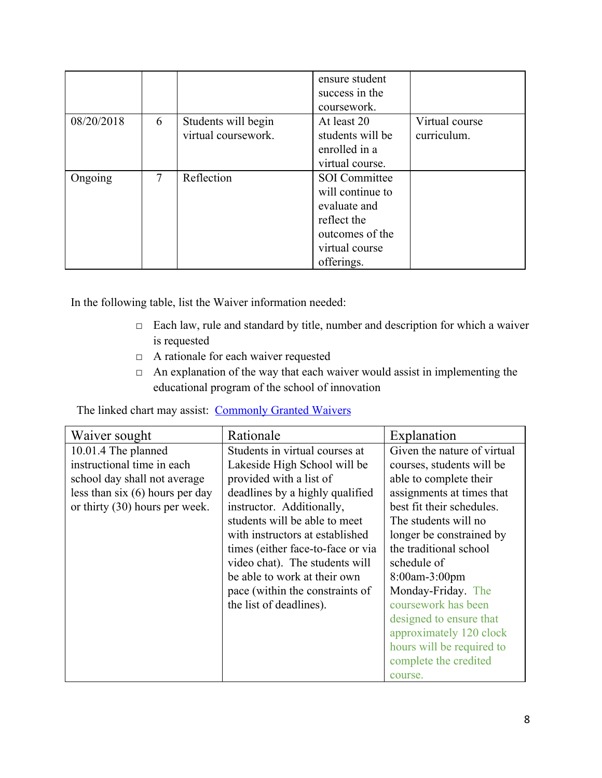|            |   |                                            | ensure student<br>success in the<br>coursework.                                                                            |                               |
|------------|---|--------------------------------------------|----------------------------------------------------------------------------------------------------------------------------|-------------------------------|
| 08/20/2018 | 6 | Students will begin<br>virtual coursework. | At least 20<br>students will be<br>enrolled in a<br>virtual course.                                                        | Virtual course<br>curriculum. |
| Ongoing    | 7 | Reflection                                 | <b>SOI</b> Committee<br>will continue to<br>evaluate and<br>reflect the<br>outcomes of the<br>virtual course<br>offerings. |                               |

In the following table, list the Waiver information needed:

- □ Each law, rule and standard by title, number and description for which a waiver is requested
- □ A rationale for each waiver requested
- □ An explanation of the way that each waiver would assist in implementing the educational program of the school of innovation

The linked chart may assist: [Commonly Granted Waivers](http://www.arkansased.gov/public/userfiles/Learning_Services/Charter%20and%20Home%20School/Charter%20School-Division%20of%20Learning%20Services/Applications/Waiver_Document.pdf)

| Waiver sought                     | Rationale                         | Explanation                 |
|-----------------------------------|-----------------------------------|-----------------------------|
| 10.01.4 The planned               | Students in virtual courses at    | Given the nature of virtual |
| instructional time in each        | Lakeside High School will be      | courses, students will be   |
| school day shall not average      | provided with a list of           | able to complete their      |
| less than six $(6)$ hours per day | deadlines by a highly qualified   | assignments at times that   |
| or thirty $(30)$ hours per week.  | instructor. Additionally,         | best fit their schedules.   |
|                                   | students will be able to meet     | The students will no        |
|                                   | with instructors at established   | longer be constrained by    |
|                                   | times (either face-to-face or via | the traditional school      |
|                                   | video chat). The students will    | schedule of                 |
|                                   | be able to work at their own      | 8:00am-3:00pm               |
|                                   | pace (within the constraints of   | Monday-Friday. The          |
|                                   | the list of deadlines).           | coursework has been         |
|                                   |                                   | designed to ensure that     |
|                                   |                                   | approximately 120 clock     |
|                                   |                                   | hours will be required to   |
|                                   |                                   | complete the credited       |
|                                   |                                   | course.                     |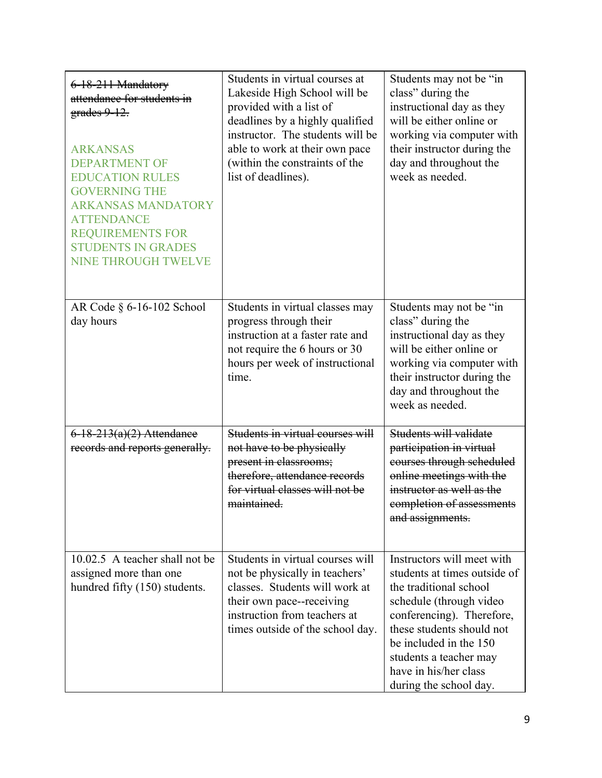| 6-18-211 Mandatory<br>attendance for students in<br>$grades$ 9-12.<br><b>ARKANSAS</b><br><b>DEPARTMENT OF</b><br><b>EDUCATION RULES</b><br><b>GOVERNING THE</b><br><b>ARKANSAS MANDATORY</b><br><b>ATTENDANCE</b><br><b>REQUIREMENTS FOR</b><br><b>STUDENTS IN GRADES</b><br><b>NINE THROUGH TWELVE</b> | Students in virtual courses at<br>Lakeside High School will be<br>provided with a list of<br>deadlines by a highly qualified<br>instructor. The students will be<br>able to work at their own pace<br>(within the constraints of the<br>list of deadlines). | Students may not be "in<br>class" during the<br>instructional day as they<br>will be either online or<br>working via computer with<br>their instructor during the<br>day and throughout the<br>week as needed.                                                                   |
|---------------------------------------------------------------------------------------------------------------------------------------------------------------------------------------------------------------------------------------------------------------------------------------------------------|-------------------------------------------------------------------------------------------------------------------------------------------------------------------------------------------------------------------------------------------------------------|----------------------------------------------------------------------------------------------------------------------------------------------------------------------------------------------------------------------------------------------------------------------------------|
| AR Code § 6-16-102 School<br>day hours                                                                                                                                                                                                                                                                  | Students in virtual classes may<br>progress through their<br>instruction at a faster rate and<br>not require the 6 hours or 30<br>hours per week of instructional<br>time.                                                                                  | Students may not be "in<br>class" during the<br>instructional day as they<br>will be either online or<br>working via computer with<br>their instructor during the<br>day and throughout the<br>week as needed.                                                                   |
| $6 - 18 - 213(a)(2)$ Attendance<br>records and reports generally.                                                                                                                                                                                                                                       | Students in virtual courses will<br>not have to be physically<br>present in elassrooms;<br>therefore, attendance records<br>for virtual classes will not be<br>maintained.                                                                                  | Students will validate<br>participation in virtual<br>courses through scheduled<br>online meetings with the<br>instructor as well as the<br>completion of assessments<br>and assignments.                                                                                        |
| 10.02.5 A teacher shall not be<br>assigned more than one<br>hundred fifty (150) students.                                                                                                                                                                                                               | Students in virtual courses will<br>not be physically in teachers'<br>classes. Students will work at<br>their own pace--receiving<br>instruction from teachers at<br>times outside of the school day.                                                       | Instructors will meet with<br>students at times outside of<br>the traditional school<br>schedule (through video<br>conferencing). Therefore,<br>these students should not<br>be included in the 150<br>students a teacher may<br>have in his/her class<br>during the school day. |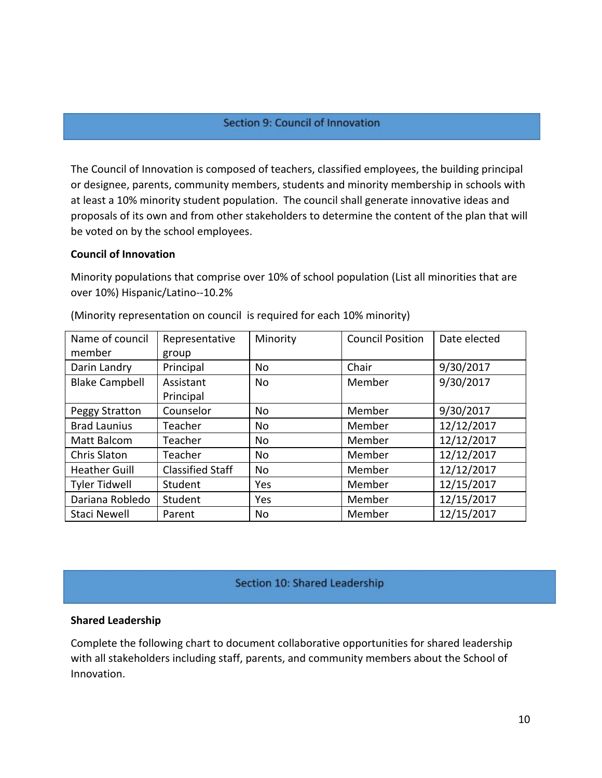#### Section 9: Council of Innovation

The Council of Innovation is composed of teachers, classified employees, the building principal or designee, parents, community members, students and minority membership in schools with at least a 10% minority student population. The council shall generate innovative ideas and proposals of its own and from other stakeholders to determine the content of the plan that will be voted on by the school employees.

#### **Council of Innovation**

Minority populations that comprise over 10% of school population (List all minorities that are over 10%) Hispanic/Latino--10.2%

| Name of council       | Representative          | Minority  | <b>Council Position</b> | Date elected |
|-----------------------|-------------------------|-----------|-------------------------|--------------|
| member                | group                   |           |                         |              |
| Darin Landry          | Principal               | <b>No</b> | Chair                   | 9/30/2017    |
| <b>Blake Campbell</b> | Assistant               | <b>No</b> | Member                  | 9/30/2017    |
|                       | Principal               |           |                         |              |
| Peggy Stratton        | Counselor               | <b>No</b> | Member                  | 9/30/2017    |
| <b>Brad Launius</b>   | Teacher                 | No        | Member                  | 12/12/2017   |
| Matt Balcom           | Teacher                 | No        | Member                  | 12/12/2017   |
| Chris Slaton          | Teacher                 | <b>No</b> | Member                  | 12/12/2017   |
| <b>Heather Guill</b>  | <b>Classified Staff</b> | No        | Member                  | 12/12/2017   |
| <b>Tyler Tidwell</b>  | Student                 | Yes       | Member                  | 12/15/2017   |
| Dariana Robledo       | Student                 | Yes       | Member                  | 12/15/2017   |
| <b>Staci Newell</b>   | Parent                  | <b>No</b> | Member                  | 12/15/2017   |

(Minority representation on council is required for each 10% minority)

#### Section 10: Shared Leadership

#### **Shared Leadership**

Complete the following chart to document collaborative opportunities for shared leadership with all stakeholders including staff, parents, and community members about the School of Innovation.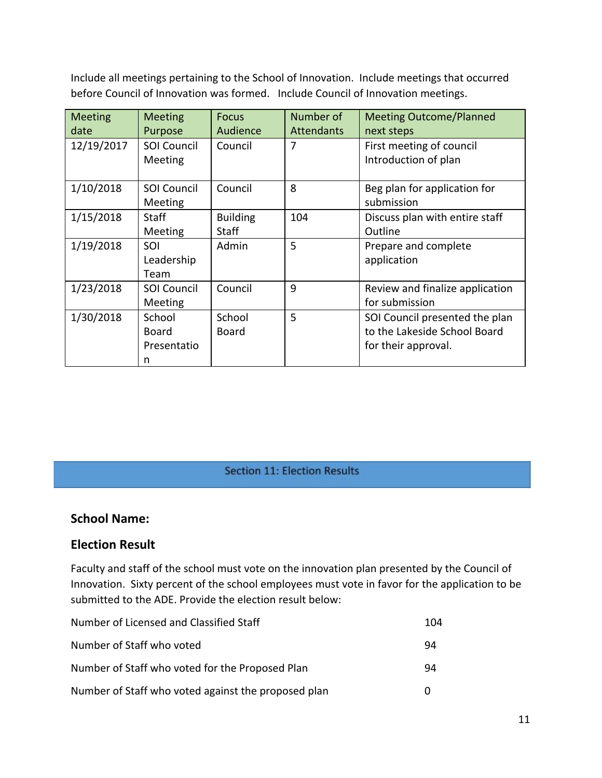Include all meetings pertaining to the School of Innovation. Include meetings that occurred before Council of Innovation was formed. Include Council of Innovation meetings.

| <b>Meeting</b><br>date | <b>Meeting</b><br>Purpose           | <b>Focus</b><br>Audience | Number of<br><b>Attendants</b> | <b>Meeting Outcome/Planned</b><br>next steps                                          |
|------------------------|-------------------------------------|--------------------------|--------------------------------|---------------------------------------------------------------------------------------|
| 12/19/2017             | <b>SOI Council</b><br>Meeting       | Council                  | 7                              | First meeting of council<br>Introduction of plan                                      |
| 1/10/2018              | <b>SOI Council</b><br>Meeting       | Council                  | 8                              | Beg plan for application for<br>submission                                            |
| 1/15/2018              | <b>Staff</b><br>Meeting             | <b>Building</b><br>Staff | 104                            | Discuss plan with entire staff<br>Outline                                             |
| 1/19/2018              | SOI<br>Leadership<br>Team           | Admin                    | 5                              | Prepare and complete<br>application                                                   |
| 1/23/2018              | <b>SOI Council</b><br>Meeting       | Council                  | 9                              | Review and finalize application<br>for submission                                     |
| 1/30/2018              | School<br>Board<br>Presentatio<br>n | School<br>Board          | 5                              | SOI Council presented the plan<br>to the Lakeside School Board<br>for their approval. |

## Section 11: Election Results

## **School Name:**

## **Election Result**

Faculty and staff of the school must vote on the innovation plan presented by the Council of Innovation. Sixty percent of the school employees must vote in favor for the application to be submitted to the ADE. Provide the election result below:

| Number of Licensed and Classified Staff             | 104 |
|-----------------------------------------------------|-----|
| Number of Staff who voted                           | 94  |
| Number of Staff who voted for the Proposed Plan     | 94  |
| Number of Staff who voted against the proposed plan | O   |